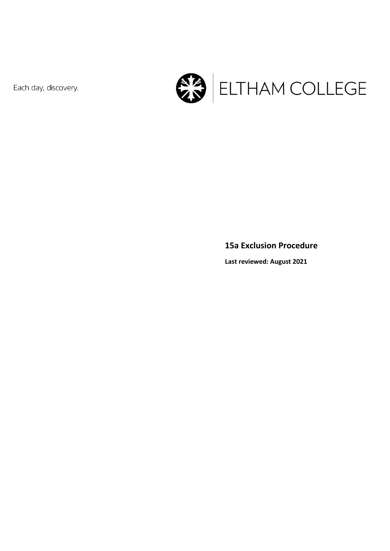Each day, discovery.



#### **15a Exclusion Procedure**

**Last reviewed: August 2021**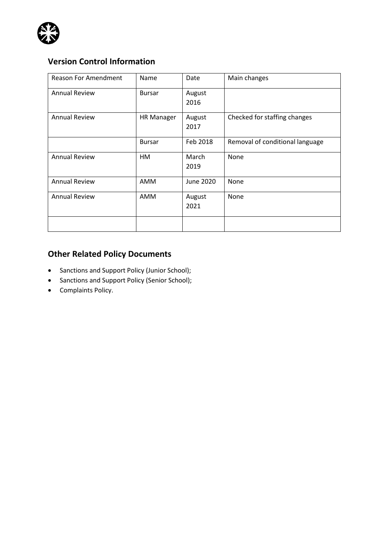

# **Version Control Information**

| <b>Reason For Amendment</b> | Name              | Date           | Main changes                    |
|-----------------------------|-------------------|----------------|---------------------------------|
| <b>Annual Review</b>        | <b>Bursar</b>     | August<br>2016 |                                 |
| <b>Annual Review</b>        | <b>HR Manager</b> | August<br>2017 | Checked for staffing changes    |
|                             | <b>Bursar</b>     | Feb 2018       | Removal of conditional language |
| <b>Annual Review</b>        | HM                | March<br>2019  | None                            |
| <b>Annual Review</b>        | AMM               | June 2020      | None                            |
| <b>Annual Review</b>        | AMM               | August<br>2021 | None                            |
|                             |                   |                |                                 |

## **Other Related Policy Documents**

- Sanctions and Support Policy (Junior School);
- Sanctions and Support Policy (Senior School);
- Complaints Policy.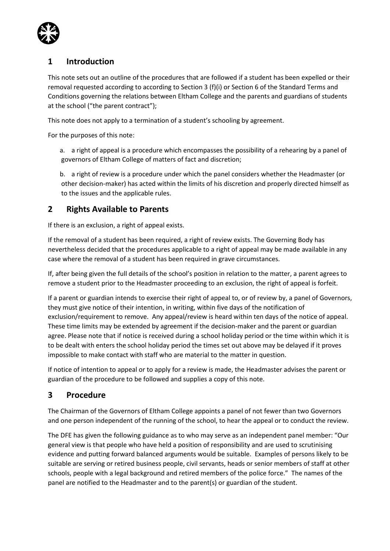

### **1 Introduction**

This note sets out an outline of the procedures that are followed if a student has been expelled or their removal requested according to according to Section 3 (f)(i) or Section 6 of the Standard Terms and Conditions governing the relations between Eltham College and the parents and guardians of students at the school ("the parent contract");

This note does not apply to a termination of a student's schooling by agreement.

For the purposes of this note:

a. a right of appeal is a procedure which encompasses the possibility of a rehearing by a panel of governors of Eltham College of matters of fact and discretion;

b. a right of review is a procedure under which the panel considers whether the Headmaster (or other decision-maker) has acted within the limits of his discretion and properly directed himself as to the issues and the applicable rules.

#### **2 Rights Available to Parents**

If there is an exclusion, a right of appeal exists.

If the removal of a student has been required, a right of review exists. The Governing Body has nevertheless decided that the procedures applicable to a right of appeal may be made available in any case where the removal of a student has been required in grave circumstances.

If, after being given the full details of the school's position in relation to the matter, a parent agrees to remove a student prior to the Headmaster proceeding to an exclusion, the right of appeal is forfeit.

If a parent or guardian intends to exercise their right of appeal to, or of review by, a panel of Governors, they must give notice of their intention, in writing, within five days of the notification of exclusion/requirement to remove. Any appeal/review is heard within ten days of the notice of appeal. These time limits may be extended by agreement if the decision-maker and the parent or guardian agree. Please note that if notice is received during a school holiday period or the time within which it is to be dealt with enters the school holiday period the times set out above may be delayed if it proves impossible to make contact with staff who are material to the matter in question.

If notice of intention to appeal or to apply for a review is made, the Headmaster advises the parent or guardian of the procedure to be followed and supplies a copy of this note.

#### **3 Procedure**

The Chairman of the Governors of Eltham College appoints a panel of not fewer than two Governors and one person independent of the running of the school, to hear the appeal or to conduct the review.

The DFE has given the following guidance as to who may serve as an independent panel member: "Our general view is that people who have held a position of responsibility and are used to scrutinising evidence and putting forward balanced arguments would be suitable. Examples of persons likely to be suitable are serving or retired business people, civil servants, heads or senior members of staff at other schools, people with a legal background and retired members of the police force." The names of the panel are notified to the Headmaster and to the parent(s) or guardian of the student.